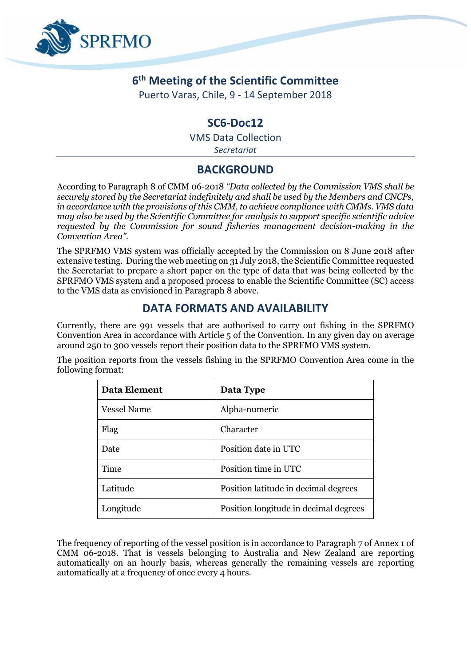

# **6 th Meeting of the Scientific Committee**

Puerto Varas, Chile, 9 - 14 September 2018

#### **SC6-Doc12**

VMS Data Collection

*Secretariat*

## **BACKGROUND**

According to Paragraph 8 of CMM 06-2018 *"Data collected by the Commission VMS shall be securely stored by the Secretariat indefinitely and shall be used by the Members and CNCPs, in accordance with the provisions of this CMM, to achieve compliance with CMMs. VMS data may also be used by the Scientific Committee for analysis to support specific scientific advice requested by the Commission for sound fisheries management decision-making in the Convention Area".*

The SPRFMO VMS system was officially accepted by the Commission on 8 June 2018 after extensive testing. During the web meeting on 31 July 2018, the Scientific Committee requested the Secretariat to prepare a short paper on the type of data that was being collected by the SPRFMO VMS system and a proposed process to enable the Scientific Committee (SC) access to the VMS data as envisioned in Paragraph 8 above.

### **DATA FORMATS AND AVAILABILITY**

Currently, there are 991 vessels that are authorised to carry out fishing in the SPRFMO Convention Area in accordance with Article 5 of the Convention. In any given day on average around 250 to 300 vessels report their position data to the SPRFMO VMS system.

The position reports from the vessels fishing in the SPRFMO Convention Area come in the following format:

| <b>Data Element</b> | Data Type                             |
|---------------------|---------------------------------------|
| <b>Vessel Name</b>  | Alpha-numeric                         |
| Flag                | Character                             |
| Date                | Position date in UTC                  |
| Time                | Position time in UTC                  |
| Latitude            | Position latitude in decimal degrees  |
| Longitude           | Position longitude in decimal degrees |

The frequency of reporting of the vessel position is in accordance to Paragraph 7 of Annex 1 of CMM 06-2018. That is vessels belonging to Australia and New Zealand are reporting automatically on an hourly basis, whereas generally the remaining vessels are reporting automatically at a frequency of once every 4 hours.